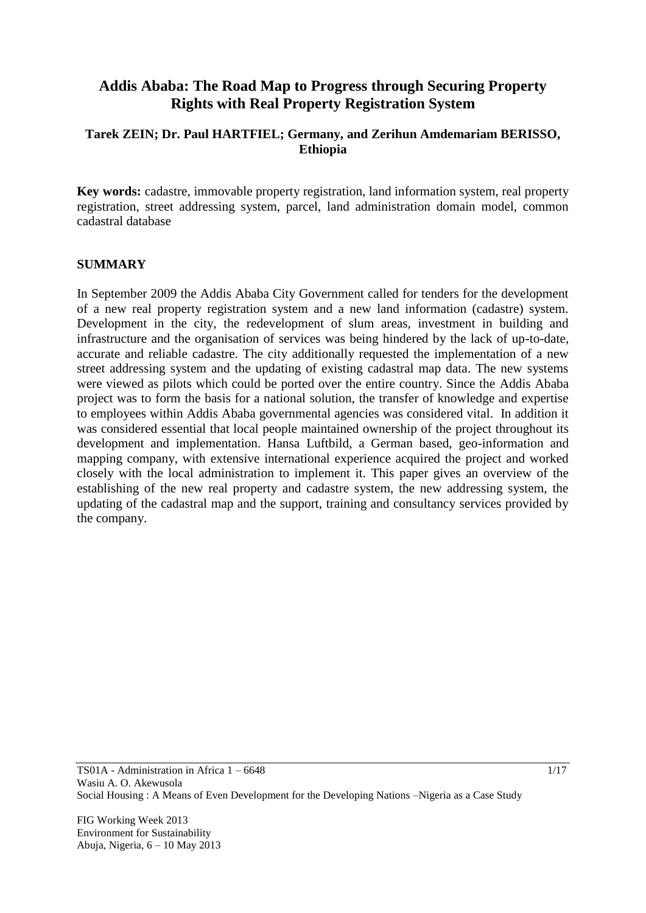# **Addis Ababa: The Road Map to Progress through Securing Property Rights with Real Property Registration System**

# **Tarek ZEIN; Dr. Paul HARTFIEL; Germany, and Zerihun Amdemariam BERISSO, Ethiopia**

**Key words:** cadastre, immovable property registration, land information system, real property registration, street addressing system, parcel, land administration domain model, common cadastral database

#### **SUMMARY**

In September 2009 the Addis Ababa City Government called for tenders for the development of a new real property registration system and a new land information (cadastre) system. Development in the city, the redevelopment of slum areas, investment in building and infrastructure and the organisation of services was being hindered by the lack of up-to-date, accurate and reliable cadastre. The city additionally requested the implementation of a new street addressing system and the updating of existing cadastral map data. The new systems were viewed as pilots which could be ported over the entire country. Since the Addis Ababa project was to form the basis for a national solution, the transfer of knowledge and expertise to employees within Addis Ababa governmental agencies was considered vital. In addition it was considered essential that local people maintained ownership of the project throughout its development and implementation. Hansa Luftbild, a German based, geo-information and mapping company, with extensive international experience acquired the project and worked closely with the local administration to implement it. This paper gives an overview of the establishing of the new real property and cadastre system, the new addressing system, the updating of the cadastral map and the support, training and consultancy services provided by the company.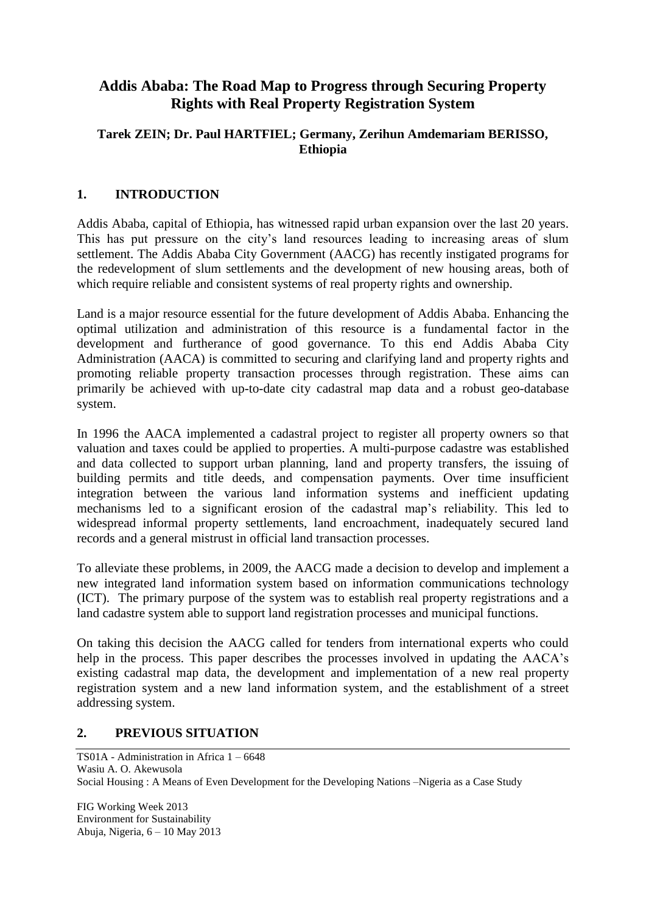# **Addis Ababa: The Road Map to Progress through Securing Property Rights with Real Property Registration System**

# **Tarek ZEIN; Dr. Paul HARTFIEL; Germany, Zerihun Amdemariam BERISSO, Ethiopia**

# **1. INTRODUCTION**

Addis Ababa, capital of Ethiopia, has witnessed rapid urban expansion over the last 20 years. This has put pressure on the city's land resources leading to increasing areas of slum settlement. The Addis Ababa City Government (AACG) has recently instigated programs for the redevelopment of slum settlements and the development of new housing areas, both of which require reliable and consistent systems of real property rights and ownership.

Land is a major resource essential for the future development of Addis Ababa. Enhancing the optimal utilization and administration of this resource is a fundamental factor in the development and furtherance of good governance. To this end Addis Ababa City Administration (AACA) is committed to securing and clarifying land and property rights and promoting reliable property transaction processes through registration. These aims can primarily be achieved with up-to-date city cadastral map data and a robust geo-database system.

In 1996 the AACA implemented a cadastral project to register all property owners so that valuation and taxes could be applied to properties. A multi-purpose cadastre was established and data collected to support urban planning, land and property transfers, the issuing of building permits and title deeds, and compensation payments. Over time insufficient integration between the various land information systems and inefficient updating mechanisms led to a significant erosion of the cadastral map's reliability. This led to widespread informal property settlements, land encroachment, inadequately secured land records and a general mistrust in official land transaction processes.

To alleviate these problems, in 2009, the AACG made a decision to develop and implement a new integrated land information system based on information communications technology (ICT). The primary purpose of the system was to establish real property registrations and a land cadastre system able to support land registration processes and municipal functions.

On taking this decision the AACG called for tenders from international experts who could help in the process. This paper describes the processes involved in updating the AACA's existing cadastral map data, the development and implementation of a new real property registration system and a new land information system, and the establishment of a street addressing system.

# **2. PREVIOUS SITUATION**

TS01A - Administration in Africa 1 – 6648 Wasiu A. O. Akewusola Social Housing : A Means of Even Development for the Developing Nations –Nigeria as a Case Study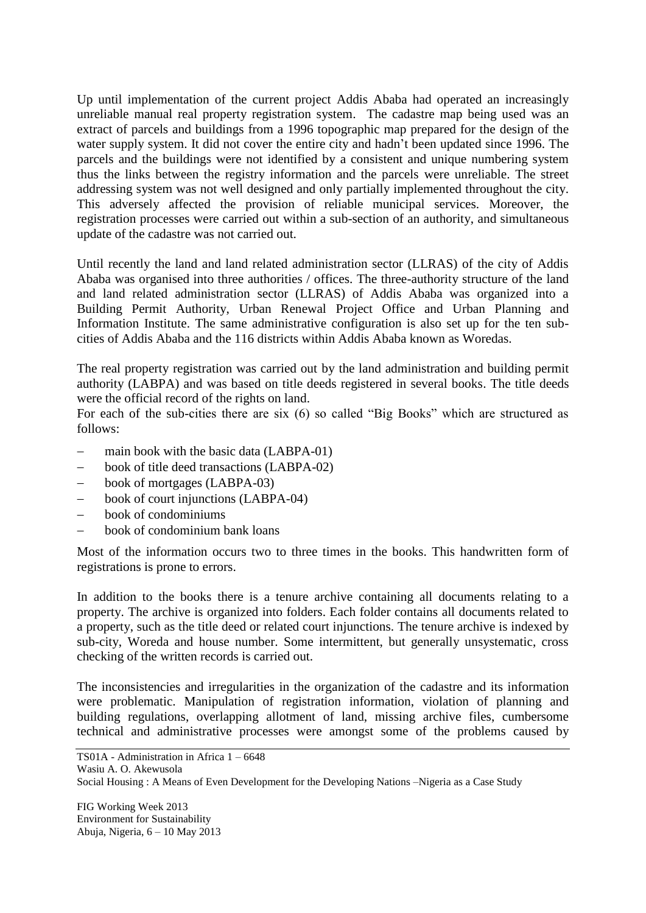Up until implementation of the current project Addis Ababa had operated an increasingly unreliable manual real property registration system. The cadastre map being used was an extract of parcels and buildings from a 1996 topographic map prepared for the design of the water supply system. It did not cover the entire city and hadn't been updated since 1996. The parcels and the buildings were not identified by a consistent and unique numbering system thus the links between the registry information and the parcels were unreliable. The street addressing system was not well designed and only partially implemented throughout the city. This adversely affected the provision of reliable municipal services. Moreover, the registration processes were carried out within a sub-section of an authority, and simultaneous update of the cadastre was not carried out.

Until recently the land and land related administration sector (LLRAS) of the city of Addis Ababa was organised into three authorities / offices. The three-authority structure of the land and land related administration sector (LLRAS) of Addis Ababa was organized into a Building Permit Authority, Urban Renewal Project Office and Urban Planning and Information Institute. The same administrative configuration is also set up for the ten subcities of Addis Ababa and the 116 districts within Addis Ababa known as Woredas.

The real property registration was carried out by the land administration and building permit authority (LABPA) and was based on title deeds registered in several books. The title deeds were the official record of the rights on land.

For each of the sub-cities there are six (6) so called "Big Books" which are structured as follows:

- main book with the basic data (LABPA-01)
- book of title deed transactions (LABPA-02)
- book of mortgages (LABPA-03)
- book of court injunctions (LABPA-04)
- book of condominiums
- book of condominium bank loans

Most of the information occurs two to three times in the books. This handwritten form of registrations is prone to errors.

In addition to the books there is a tenure archive containing all documents relating to a property. The archive is organized into folders. Each folder contains all documents related to a property, such as the title deed or related court injunctions. The tenure archive is indexed by sub-city, Woreda and house number. Some intermittent, but generally unsystematic, cross checking of the written records is carried out.

The inconsistencies and irregularities in the organization of the cadastre and its information were problematic. Manipulation of registration information, violation of planning and building regulations, overlapping allotment of land, missing archive files, cumbersome technical and administrative processes were amongst some of the problems caused by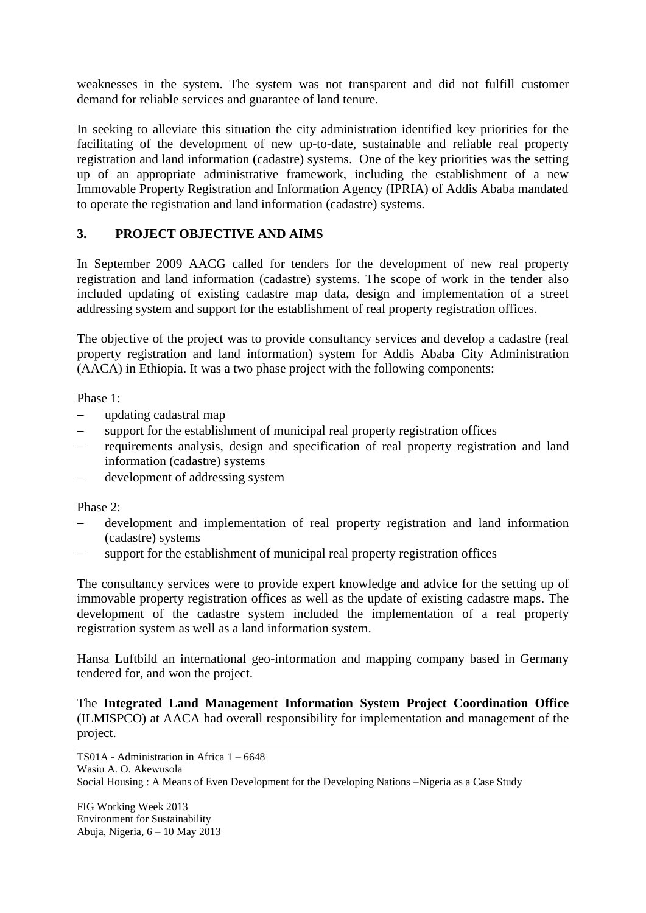weaknesses in the system. The system was not transparent and did not fulfill customer demand for reliable services and guarantee of land tenure.

In seeking to alleviate this situation the city administration identified key priorities for the facilitating of the development of new up-to-date, sustainable and reliable real property registration and land information (cadastre) systems. One of the key priorities was the setting up of an appropriate administrative framework, including the establishment of a new Immovable Property Registration and Information Agency (IPRIA) of Addis Ababa mandated to operate the registration and land information (cadastre) systems.

# **3. PROJECT OBJECTIVE AND AIMS**

In September 2009 AACG called for tenders for the development of new real property registration and land information (cadastre) systems. The scope of work in the tender also included updating of existing cadastre map data, design and implementation of a street addressing system and support for the establishment of real property registration offices.

The objective of the project was to provide consultancy services and develop a cadastre (real property registration and land information) system for Addis Ababa City Administration (AACA) in Ethiopia. It was a two phase project with the following components:

Phase 1:

- updating cadastral map
- support for the establishment of municipal real property registration offices
- requirements analysis, design and specification of real property registration and land information (cadastre) systems
- development of addressing system

Phase 2:

- development and implementation of real property registration and land information (cadastre) systems
- support for the establishment of municipal real property registration offices

The consultancy services were to provide expert knowledge and advice for the setting up of immovable property registration offices as well as the update of existing cadastre maps. The development of the cadastre system included the implementation of a real property registration system as well as a land information system.

Hansa Luftbild an international geo-information and mapping company based in Germany tendered for, and won the project.

The **Integrated Land Management Information System Project Coordination Office** (ILMISPCO) at AACA had overall responsibility for implementation and management of the project.

TS01A - Administration in Africa 1 – 6648 Wasiu A. O. Akewusola Social Housing : A Means of Even Development for the Developing Nations –Nigeria as a Case Study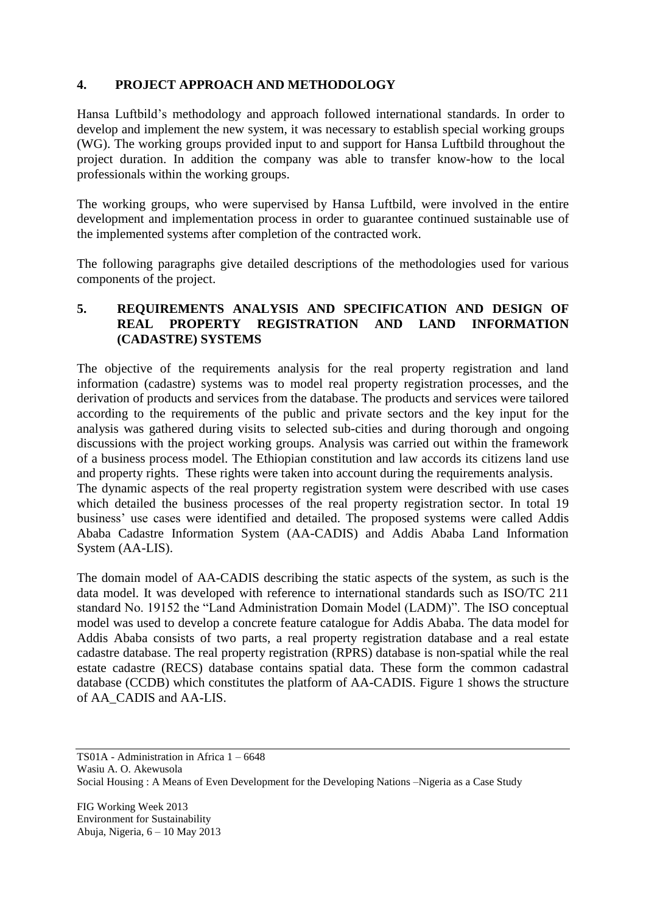# **4. PROJECT APPROACH AND METHODOLOGY**

Hansa Luftbild's methodology and approach followed international standards. In order to develop and implement the new system, it was necessary to establish special working groups (WG). The working groups provided input to and support for Hansa Luftbild throughout the project duration. In addition the company was able to transfer know-how to the local professionals within the working groups.

The working groups, who were supervised by Hansa Luftbild, were involved in the entire development and implementation process in order to guarantee continued sustainable use of the implemented systems after completion of the contracted work.

The following paragraphs give detailed descriptions of the methodologies used for various components of the project.

# **5. REQUIREMENTS ANALYSIS AND SPECIFICATION AND DESIGN OF REAL PROPERTY REGISTRATION AND LAND INFORMATION (CADASTRE) SYSTEMS**

The objective of the requirements analysis for the real property registration and land information (cadastre) systems was to model real property registration processes, and the derivation of products and services from the database. The products and services were tailored according to the requirements of the public and private sectors and the key input for the analysis was gathered during visits to selected sub-cities and during thorough and ongoing discussions with the project working groups. Analysis was carried out within the framework of a business process model. The Ethiopian constitution and law accords its citizens land use and property rights. These rights were taken into account during the requirements analysis. The dynamic aspects of the real property registration system were described with use cases which detailed the business processes of the real property registration sector. In total 19

business' use cases were identified and detailed. The proposed systems were called Addis Ababa Cadastre Information System (AA-CADIS) and Addis Ababa Land Information System (AA-LIS).

The domain model of AA-CADIS describing the static aspects of the system, as such is the data model. It was developed with reference to international standards such as ISO/TC 211 standard No. 19152 the "Land Administration Domain Model (LADM)". The ISO conceptual model was used to develop a concrete feature catalogue for Addis Ababa. The data model for Addis Ababa consists of two parts, a real property registration database and a real estate cadastre database. The real property registration (RPRS) database is non-spatial while the real estate cadastre (RECS) database contains spatial data. These form the common cadastral database (CCDB) which constitutes the platform of AA-CADIS. [Figure 1](#page-5-0) shows the structure of AA\_CADIS and AA-LIS.

TS01A - Administration in Africa 1 – 6648 Wasiu A. O. Akewusola Social Housing : A Means of Even Development for the Developing Nations –Nigeria as a Case Study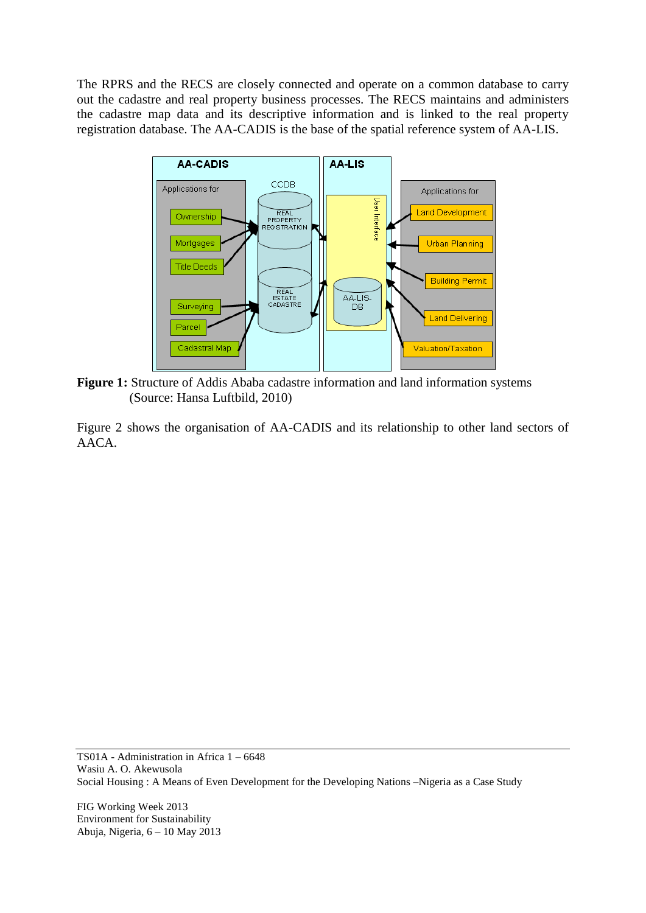The RPRS and the RECS are closely connected and operate on a common database to carry out the cadastre and real property business processes. The RECS maintains and administers the cadastre map data and its descriptive information and is linked to the real property registration database. The AA-CADIS is the base of the spatial reference system of AA-LIS.



<span id="page-5-0"></span>**Figure 1:** Structure of Addis Ababa cadastre information and land information systems (Source: Hansa Luftbild, 2010)

[Figure 2](#page-6-0) shows the organisation of AA-CADIS and its relationship to other land sectors of AACA.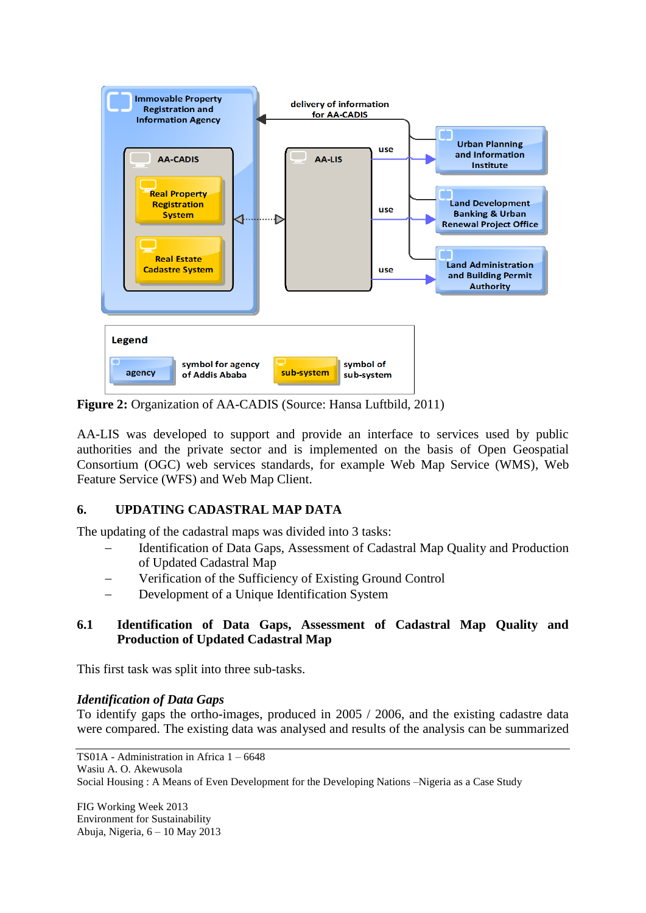

<span id="page-6-0"></span>**Figure 2:** Organization of AA-CADIS (Source: Hansa Luftbild, 2011)

AA-LIS was developed to support and provide an interface to services used by public authorities and the private sector and is implemented on the basis of Open Geospatial Consortium (OGC) web services standards, for example Web Map Service (WMS), Web Feature Service (WFS) and Web Map Client.

# **6. UPDATING CADASTRAL MAP DATA**

The updating of the cadastral maps was divided into 3 tasks:

- Identification of Data Gaps, Assessment of Cadastral Map Quality and Production of Updated Cadastral Map
- Verification of the Sufficiency of Existing Ground Control
- Development of a Unique Identification System

#### **6.1 Identification of Data Gaps, Assessment of Cadastral Map Quality and Production of Updated Cadastral Map**

This first task was split into three sub-tasks.

#### *Identification of Data Gaps*

To identify gaps the ortho-images, produced in 2005 / 2006, and the existing cadastre data were compared. The existing data was analysed and results of the analysis can be summarized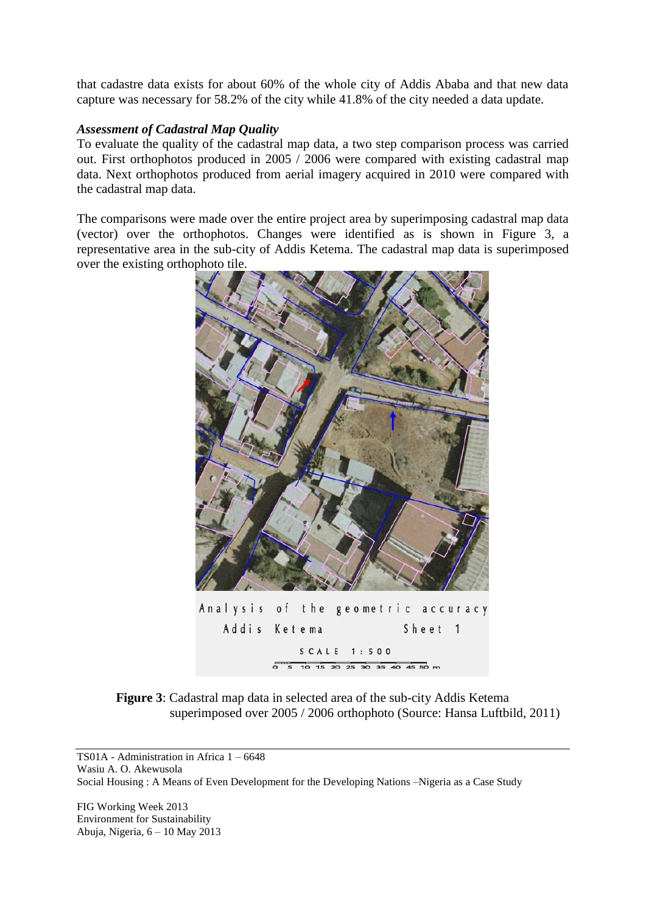that cadastre data exists for about 60% of the whole city of Addis Ababa and that new data capture was necessary for 58.2% of the city while 41.8% of the city needed a data update.

### *Assessment of Cadastral Map Quality*

To evaluate the quality of the cadastral map data, a two step comparison process was carried out. First orthophotos produced in 2005 / 2006 were compared with existing cadastral map data. Next orthophotos produced from aerial imagery acquired in 2010 were compared with the cadastral map data.

The comparisons were made over the entire project area by superimposing cadastral map data (vector) over the orthophotos. Changes were identified as is shown in [Figure](#page-7-0) 3, a representative area in the sub-city of Addis Ketema. The cadastral map data is superimposed over the existing orthophoto tile.



**Figure 3**: Cadastral map data in selected area of the sub-city Addis Ketema superimposed over 2005 / 2006 orthophoto (Source: Hansa Luftbild, 2011)

<span id="page-7-0"></span>TS01A - Administration in Africa 1 – 6648 Wasiu A. O. Akewusola Social Housing : A Means of Even Development for the Developing Nations –Nigeria as a Case Study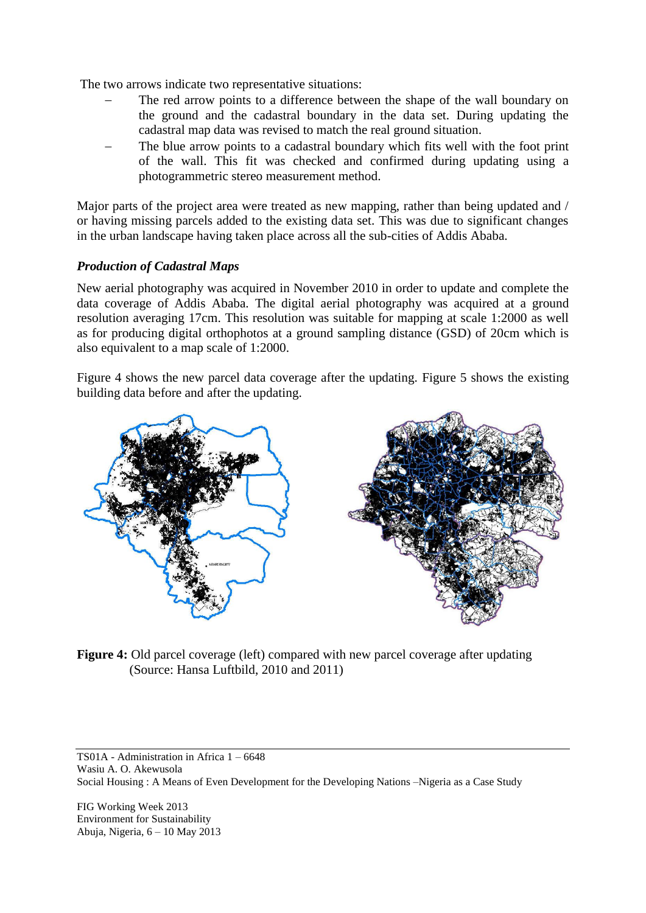The two arrows indicate two representative situations:

- The red arrow points to a difference between the shape of the wall boundary on the ground and the cadastral boundary in the data set. During updating the cadastral map data was revised to match the real ground situation.
- The blue arrow points to a cadastral boundary which fits well with the foot print of the wall. This fit was checked and confirmed during updating using a photogrammetric stereo measurement method.

Major parts of the project area were treated as new mapping, rather than being updated and / or having missing parcels added to the existing data set. This was due to significant changes in the urban landscape having taken place across all the sub-cities of Addis Ababa.

# *Production of Cadastral Maps*

New aerial photography was acquired in November 2010 in order to update and complete the data coverage of Addis Ababa. The digital aerial photography was acquired at a ground resolution averaging 17cm. This resolution was suitable for mapping at scale 1:2000 as well as for producing digital orthophotos at a ground sampling distance (GSD) of 20cm which is also equivalent to a map scale of 1:2000.

[Figure 4](#page-8-0) shows the new parcel data coverage after the updating. [Figure](#page-9-0) 5 shows the existing building data before and after the updating.



<span id="page-8-0"></span>**Figure 4:** Old parcel coverage (left) compared with new parcel coverage after updating (Source: Hansa Luftbild, 2010 and 2011)

TS01A - Administration in Africa 1 – 6648 Wasiu A. O. Akewusola Social Housing : A Means of Even Development for the Developing Nations –Nigeria as a Case Study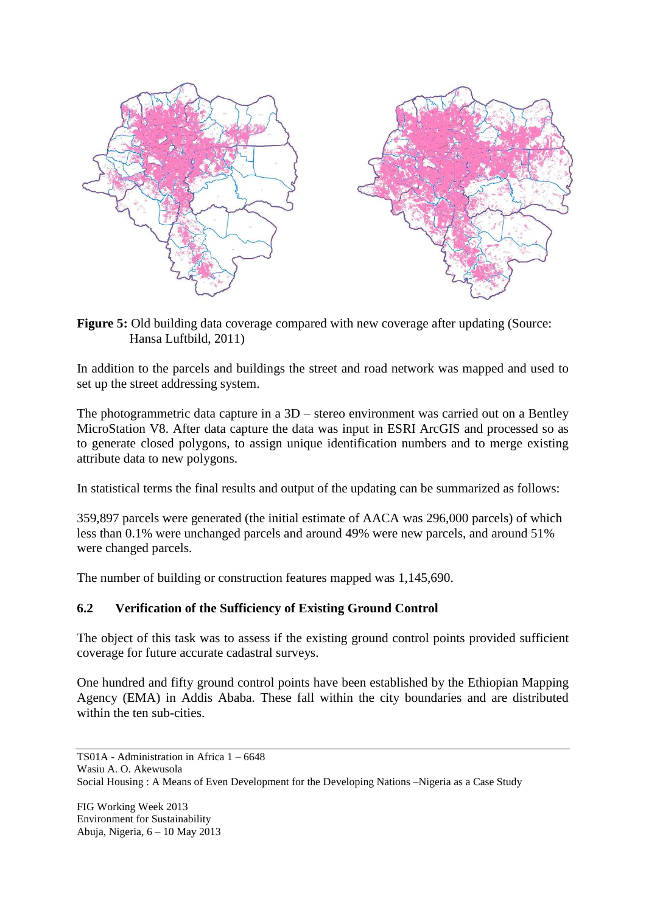

<span id="page-9-0"></span>**Figure 5:** Old building data coverage compared with new coverage after updating (Source: Hansa Luftbild, 2011)

In addition to the parcels and buildings the street and road network was mapped and used to set up the street addressing system.

The photogrammetric data capture in a 3D – stereo environment was carried out on a Bentley MicroStation V8. After data capture the data was input in ESRI ArcGIS and processed so as to generate closed polygons, to assign unique identification numbers and to merge existing attribute data to new polygons.

In statistical terms the final results and output of the updating can be summarized as follows:

359,897 parcels were generated (the initial estimate of AACA was 296,000 parcels) of which less than 0.1% were unchanged parcels and around 49% were new parcels, and around 51% were changed parcels.

The number of building or construction features mapped was 1,145,690.

# **6.2 Verification of the Sufficiency of Existing Ground Control**

The object of this task was to assess if the existing ground control points provided sufficient coverage for future accurate cadastral surveys.

One hundred and fifty ground control points have been established by the Ethiopian Mapping Agency (EMA) in Addis Ababa. These fall within the city boundaries and are distributed within the ten sub-cities.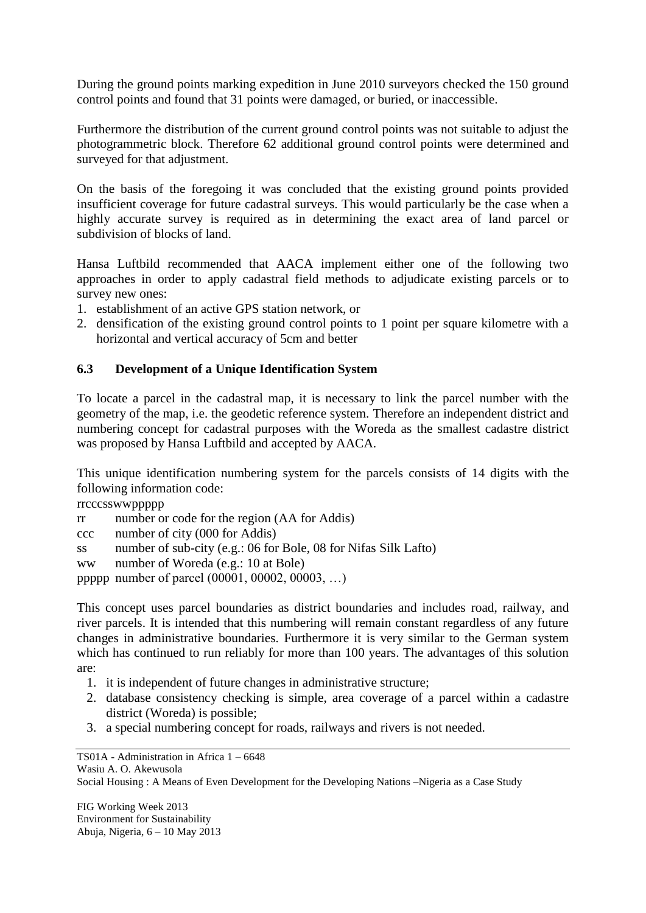During the ground points marking expedition in June 2010 surveyors checked the 150 ground control points and found that 31 points were damaged, or buried, or inaccessible.

Furthermore the distribution of the current ground control points was not suitable to adjust the photogrammetric block. Therefore 62 additional ground control points were determined and surveyed for that adjustment.

On the basis of the foregoing it was concluded that the existing ground points provided insufficient coverage for future cadastral surveys. This would particularly be the case when a highly accurate survey is required as in determining the exact area of land parcel or subdivision of blocks of land.

Hansa Luftbild recommended that AACA implement either one of the following two approaches in order to apply cadastral field methods to adjudicate existing parcels or to survey new ones:

- 1. establishment of an active GPS station network, or
- 2. densification of the existing ground control points to 1 point per square kilometre with a horizontal and vertical accuracy of 5cm and better

# **6.3 Development of a Unique Identification System**

To locate a parcel in the cadastral map, it is necessary to link the parcel number with the geometry of the map, i.e. the geodetic reference system. Therefore an independent district and numbering concept for cadastral purposes with the Woreda as the smallest cadastre district was proposed by Hansa Luftbild and accepted by AACA.

This unique identification numbering system for the parcels consists of 14 digits with the following information code:

rrcccsswwppppp

rr number or code for the region (AA for Addis)

ccc number of city (000 for Addis)

ss number of sub-city (e.g.: 06 for Bole, 08 for Nifas Silk Lafto)

ww number of Woreda (e.g.: 10 at Bole)

ppppp number of parcel (00001, 00002, 00003, …)

This concept uses parcel boundaries as district boundaries and includes road, railway, and river parcels. It is intended that this numbering will remain constant regardless of any future changes in administrative boundaries. Furthermore it is very similar to the German system which has continued to run reliably for more than 100 years. The advantages of this solution are:

- 1. it is independent of future changes in administrative structure;
- 2. database consistency checking is simple, area coverage of a parcel within a cadastre district (Woreda) is possible;
- 3. a special numbering concept for roads, railways and rivers is not needed.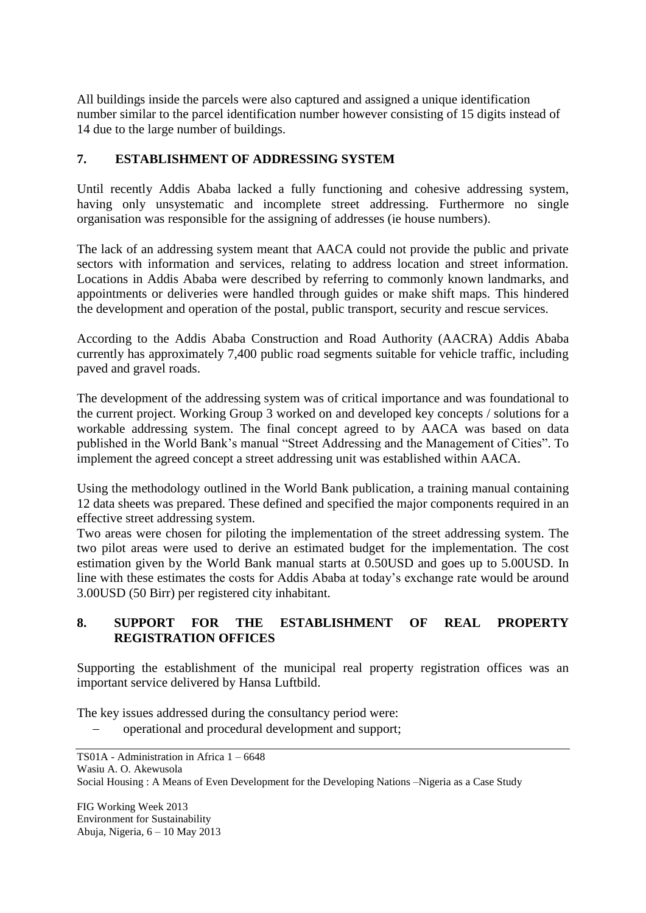All buildings inside the parcels were also captured and assigned a unique identification number similar to the parcel identification number however consisting of 15 digits instead of 14 due to the large number of buildings.

# **7. ESTABLISHMENT OF ADDRESSING SYSTEM**

Until recently Addis Ababa lacked a fully functioning and cohesive addressing system, having only unsystematic and incomplete street addressing. Furthermore no single organisation was responsible for the assigning of addresses (ie house numbers).

The lack of an addressing system meant that AACA could not provide the public and private sectors with information and services, relating to address location and street information. Locations in Addis Ababa were described by referring to commonly known landmarks, and appointments or deliveries were handled through guides or make shift maps. This hindered the development and operation of the postal, public transport, security and rescue services.

According to the Addis Ababa Construction and Road Authority (AACRA) Addis Ababa currently has approximately 7,400 public road segments suitable for vehicle traffic, including paved and gravel roads.

The development of the addressing system was of critical importance and was foundational to the current project. Working Group 3 worked on and developed key concepts / solutions for a workable addressing system. The final concept agreed to by AACA was based on data published in the World Bank's manual "Street Addressing and the Management of Cities". To implement the agreed concept a street addressing unit was established within AACA.

Using the methodology outlined in the World Bank publication, a training manual containing 12 data sheets was prepared. These defined and specified the major components required in an effective street addressing system.

Two areas were chosen for piloting the implementation of the street addressing system. The two pilot areas were used to derive an estimated budget for the implementation. The cost estimation given by the World Bank manual starts at 0.50USD and goes up to 5.00USD. In line with these estimates the costs for Addis Ababa at today's exchange rate would be around 3.00USD (50 Birr) per registered city inhabitant.

# **8. SUPPORT FOR THE ESTABLISHMENT OF REAL PROPERTY REGISTRATION OFFICES**

Supporting the establishment of the municipal real property registration offices was an important service delivered by Hansa Luftbild.

The key issues addressed during the consultancy period were:

operational and procedural development and support;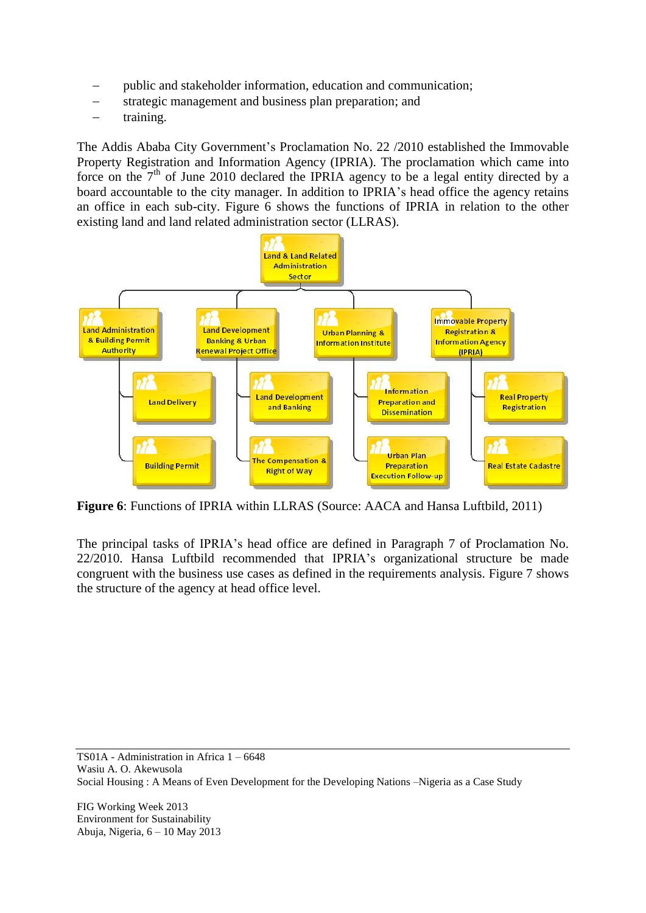- public and stakeholder information, education and communication;
- strategic management and business plan preparation; and
- training.

The Addis Ababa City Government's Proclamation No. 22 /2010 established the Immovable Property Registration and Information Agency (IPRIA). The proclamation which came into force on the  $7<sup>th</sup>$  of June 2010 declared the IPRIA agency to be a legal entity directed by a board accountable to the city manager. In addition to IPRIA's head office the agency retains an office in each sub-city. [Figure 6](#page-12-0) shows the functions of IPRIA in relation to the other existing land and land related administration sector (LLRAS).



<span id="page-12-0"></span>**Figure 6**: Functions of IPRIA within LLRAS (Source: AACA and Hansa Luftbild, 2011)

The principal tasks of IPRIA's head office are defined in Paragraph 7 of Proclamation No. 22/2010. Hansa Luftbild recommended that IPRIA's organizational structure be made congruent with the business use cases as defined in the requirements analysis. [Figure 7](#page-13-0) shows the structure of the agency at head office level.

TS01A - Administration in Africa 1 – 6648 Wasiu A. O. Akewusola Social Housing : A Means of Even Development for the Developing Nations –Nigeria as a Case Study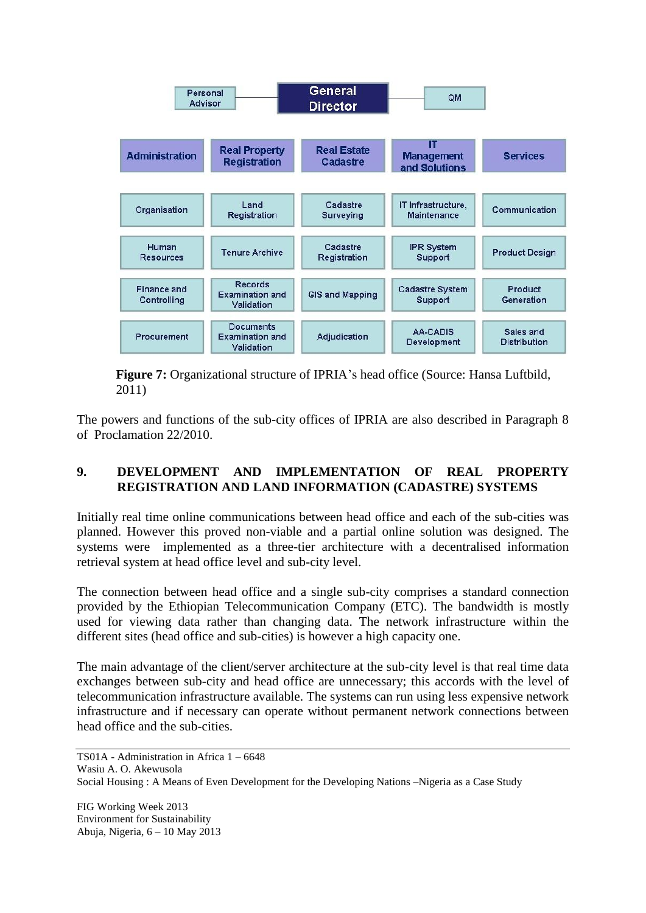

<span id="page-13-0"></span>**Figure 7:** Organizational structure of IPRIA's head office (Source: Hansa Luftbild, 2011)

The powers and functions of the sub-city offices of IPRIA are also described in Paragraph 8 of Proclamation 22/2010.

# **9. DEVELOPMENT AND IMPLEMENTATION OF REAL PROPERTY REGISTRATION AND LAND INFORMATION (CADASTRE) SYSTEMS**

Initially real time online communications between head office and each of the sub-cities was planned. However this proved non-viable and a partial online solution was designed. The systems were implemented as a three-tier architecture with a decentralised information retrieval system at head office level and sub-city level.

The connection between head office and a single sub-city comprises a standard connection provided by the Ethiopian Telecommunication Company (ETC). The bandwidth is mostly used for viewing data rather than changing data. The network infrastructure within the different sites (head office and sub-cities) is however a high capacity one.

The main advantage of the client/server architecture at the sub-city level is that real time data exchanges between sub-city and head office are unnecessary; this accords with the level of telecommunication infrastructure available. The systems can run using less expensive network infrastructure and if necessary can operate without permanent network connections between head office and the sub-cities.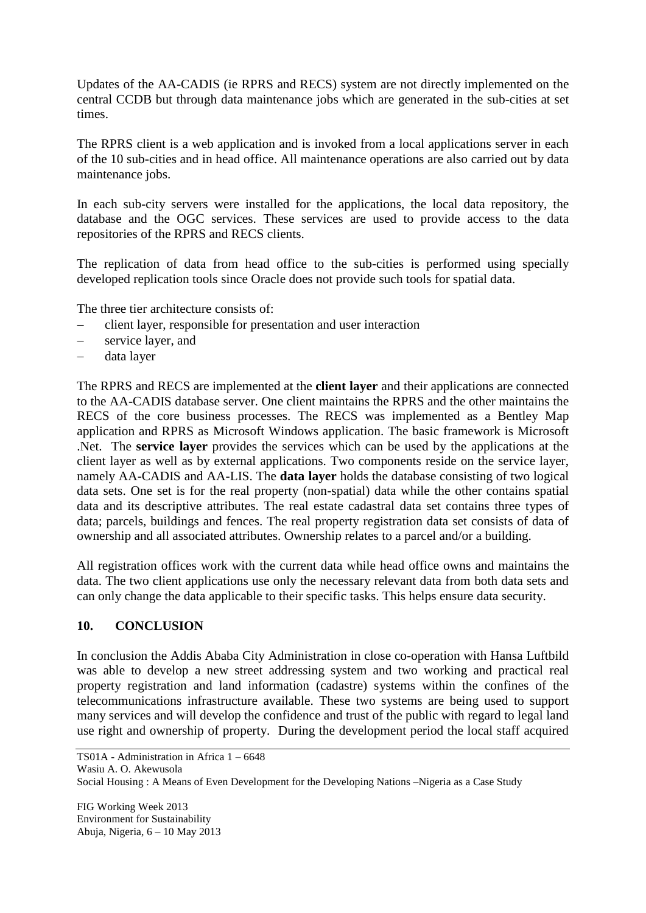Updates of the AA-CADIS (ie RPRS and RECS) system are not directly implemented on the central CCDB but through data maintenance jobs which are generated in the sub-cities at set times.

The RPRS client is a web application and is invoked from a local applications server in each of the 10 sub-cities and in head office. All maintenance operations are also carried out by data maintenance jobs.

In each sub-city servers were installed for the applications, the local data repository, the database and the OGC services. These services are used to provide access to the data repositories of the RPRS and RECS clients.

The replication of data from head office to the sub-cities is performed using specially developed replication tools since Oracle does not provide such tools for spatial data.

The three tier architecture consists of:

- client layer, responsible for presentation and user interaction
- service layer, and
- data layer

The RPRS and RECS are implemented at the **client layer** and their applications are connected to the AA-CADIS database server. One client maintains the RPRS and the other maintains the RECS of the core business processes. The RECS was implemented as a Bentley Map application and RPRS as Microsoft Windows application. The basic framework is Microsoft .Net. The **service layer** provides the services which can be used by the applications at the client layer as well as by external applications. Two components reside on the service layer, namely AA-CADIS and AA-LIS. The **data layer** holds the database consisting of two logical data sets. One set is for the real property (non-spatial) data while the other contains spatial data and its descriptive attributes. The real estate cadastral data set contains three types of data; parcels, buildings and fences. The real property registration data set consists of data of ownership and all associated attributes. Ownership relates to a parcel and/or a building.

All registration offices work with the current data while head office owns and maintains the data. The two client applications use only the necessary relevant data from both data sets and can only change the data applicable to their specific tasks. This helps ensure data security.

# **10. CONCLUSION**

In conclusion the Addis Ababa City Administration in close co-operation with Hansa Luftbild was able to develop a new street addressing system and two working and practical real property registration and land information (cadastre) systems within the confines of the telecommunications infrastructure available. These two systems are being used to support many services and will develop the confidence and trust of the public with regard to legal land use right and ownership of property. During the development period the local staff acquired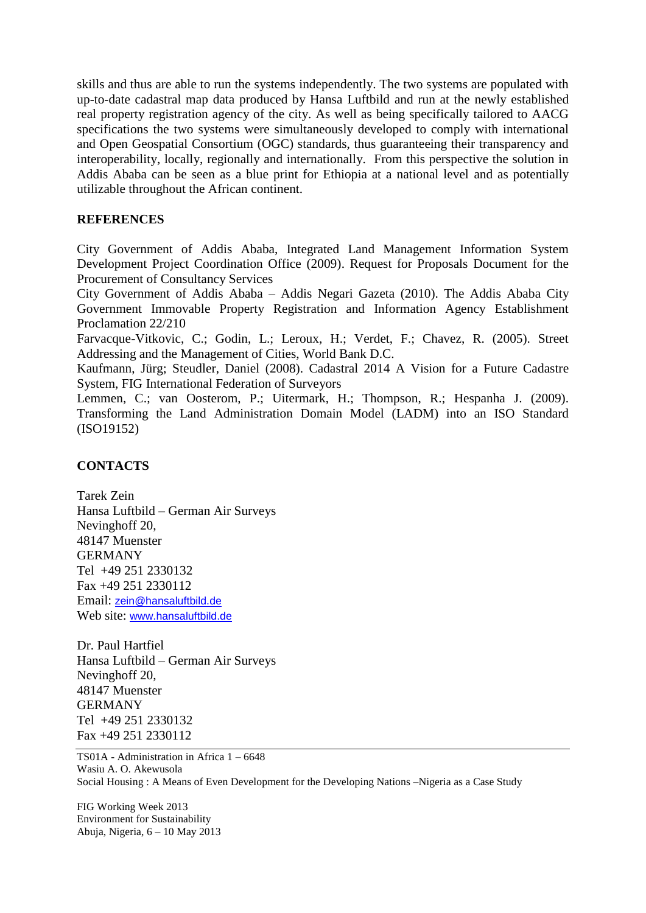skills and thus are able to run the systems independently. The two systems are populated with up-to-date cadastral map data produced by Hansa Luftbild and run at the newly established real property registration agency of the city. As well as being specifically tailored to AACG specifications the two systems were simultaneously developed to comply with international and Open Geospatial Consortium (OGC) standards, thus guaranteeing their transparency and interoperability, locally, regionally and internationally. From this perspective the solution in Addis Ababa can be seen as a blue print for Ethiopia at a national level and as potentially utilizable throughout the African continent.

#### **REFERENCES**

City Government of Addis Ababa, Integrated Land Management Information System Development Project Coordination Office (2009). Request for Proposals Document for the Procurement of Consultancy Services

City Government of Addis Ababa – Addis Negari Gazeta (2010). The Addis Ababa City Government Immovable Property Registration and Information Agency Establishment Proclamation 22/210

Farvacque-Vitkovic, C.; Godin, L.; Leroux, H.; Verdet, F.; Chavez, R. (2005). Street Addressing and the Management of Cities, World Bank D.C.

Kaufmann, Jürg; Steudler, Daniel (2008). Cadastral 2014 A Vision for a Future Cadastre System, FIG International Federation of Surveyors

Lemmen, C.; van Oosterom, P.; Uitermark, H.; Thompson, R.; Hespanha J. (2009). Transforming the Land Administration Domain Model (LADM) into an ISO Standard (ISO19152)

# **CONTACTS**

Tarek Zein Hansa Luftbild – German Air Surveys Nevinghoff 20, 48147 Muenster GERMANY Tel +49 251 2330132 Fax +49 251 2330112 Email: [zein@hansaluftbild.de](mailto:zein@hansaluftbild.de) Web site: [www.hansaluftbild.de](http://www.hansaluftbild.de/)

Dr. Paul Hartfiel Hansa Luftbild – German Air Surveys Nevinghoff 20, 48147 Muenster GERMANY Tel +49 251 2330132 Fax +49 251 2330112

TS01A - Administration in Africa 1 – 6648 Wasiu A. O. Akewusola Social Housing : A Means of Even Development for the Developing Nations –Nigeria as a Case Study